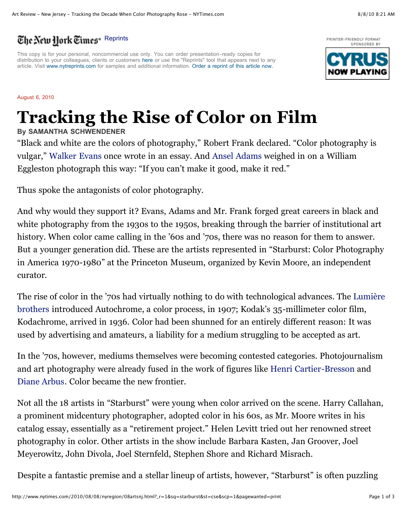## The New Hork Times<sup>®</sup> [Reprints](http://www.nytimes.com/2010/08/08/nyregion/08artsnj.html?_r=1&sq=starburst&st=cse&scp=1&pagewanted=print#)

This copy is for your personal, noncommercial use only. You can order presentation-ready copies for distribution to your colleagues, clients or customers [here](http://www.nytimes.com/2010/08/08/nyregion/08artsnj.html?_r=1&sq=starburst&st=cse&scp=1&pagewanted=print#) or use the "Reprints" tool that appears next to any article. Visit [www.nytreprints.com](http://www.nytreprints.com/) for samples and additional information. Order a [reprint](http://www.nytimes.com/2010/08/08/nyregion/08artsnj.html?_r=1&sq=starburst&st=cse&scp=1&pagewanted=print#) of this article now.

## August 6, 2010

## **Tracking the Rise of Color on Film**

**By SAMANTHA SCHWENDENE** 

"Black and white are the colors of photography," Robert Frank declared. "Color photography is vulgar," [Walker](http://topics.nytimes.com/top/reference/timestopics/people/e/walker_evans/index.html?inline=nyt-per) Evans once wrote in an essay. And Ansel [Adams](http://topics.nytimes.com/top/reference/timestopics/people/a/ansel_adams/index.html?inline=nyt-per) weighed in on a William Eggleston photograph this way: "If you can't make it good, make it red."

Thus spoke the antagonists of color photography.

And why would they support it? Evans, Adams and Mr. Frank forged great careers in black and white photography from the 1930s to the 1950s, breaking through the barrier of institutional art history. When color came calling in the '60s and '70s, there was no reason for them to answer. But a younger generation did. These are the artists represented in "Starburst: Color Photography in America 1970-1980" at the Princeton Museum, organized by Kevin Moore, an independent curator.

The rise of color in the '70s had virtually nothing to do with technological advances. The Lumière brothers introduced Autochrome, a color process, in 1907; Kodak's [35-millimeter](http://www.britannica.com/EBchecked/topic/1403398/Lumiere-brothers) color film, Kodachrome, arrived in 1936. Color had been shunned for an entirely different reason: It was used by advertising and amateurs, a liability for a medium struggling to be accepted as art.

In the '70s, however, mediums themselves were becoming contested categories. Photojournalism and art photography were already fused in the work of figures like Henri [Cartier-Bresson](http://www.henricartierbresson.org/index_en.htm) and Diane [Arbus](http://www.metmuseum.org/special/se_event.asp?OccurrenceId=%7BE9C11548-26E7-431C-9F83-03E1EBC758CD%7D). Color became the new frontier.

Not all the 18 artists in "Starburst" were young when color arrived on the scene. Harry Callahan, a prominent midcentury photographer, adopted color in his 60s, as Mr. Moore writes in his catalog essay, essentially as a "retirement project." Helen Levitt tried out her renowned street photography in color. Other artists in the show include Barbara Kasten, Jan Groover, Joel Meyerowitz, John Divola, Joel Sternfeld, Stephen Shore and Richard Misrach.

Despite a fantastic premise and a stellar lineup of artists, however, "Starburst" is often puzzling

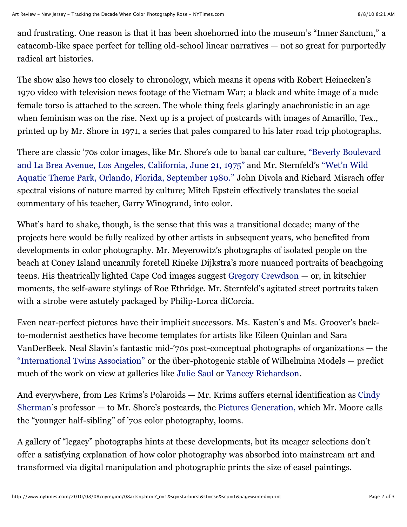and frustrating. One reason is that it has been shoehorned into the museum's "Inner Sanctum," a catacomb-like space perfect for telling old-school linear narratives — not so great for purportedly radical art histories.

The show also hews too closely to chronology, which means it opens with Robert Heinecken's 1970 video with television news footage of the Vietnam War; a black and white image of a nude female torso is attached to the screen. The whole thing feels glaringly anachronistic in an age when feminism was on the rise. Next up is a project of postcards with images of Amarillo, Tex., printed up by Mr. Shore in 1971, a series that pales compared to his later road trip photographs.

There are classic '70s color images, like Mr. Shore's ode to banal car culture, "Beverly Boulevard and La Brea Avenue, Los Angeles, California, June 21, 1975" and Mr. [Sternfeld's](http://hammer.ucla.edu/exhibitions/detail/exhibition_id/107) "Wet'n Wild Aquatic Theme Park, Orlando, Florida, [September](http://www.artnet.com/usernet/awc/awc_thumbnail.asp?aid=424263129&gid=424263129&works_of_art=1&cid=75413&page=2) 1980." John Divola and Richard Misrach offer spectral visions of nature marred by culture; Mitch Epstein effectively translates the social commentary of his teacher, Garry Winogrand, into color.

What's hard to shake, though, is the sense that this was a transitional decade; many of the projects here would be fully realized by other artists in subsequent years, who benefited from developments in color photography. Mr. Meyerowitz's photographs of isolated people on the beach at Coney Island uncannily foretell Rineke Dijkstra's more nuanced portraits of beachgoing teens. His theatrically lighted Cape Cod images suggest Gregory [Crewdson](http://topics.nytimes.com/top/reference/timestopics/people/c/gregory_crewdson/index.html?inline=nyt-per) — or, in kitschier moments, the self-aware stylings of Roe Ethridge. Mr. Sternfeld's agitated street portraits taken with a strobe were astutely packaged by Philip-Lorca diCorcia.

Even near-perfect pictures have their implicit successors. Ms. Kasten's and Ms. Groover's backto-modernist aesthetics have become templates for artists like Eileen Quinlan and Sara VanDerBeek. Neal Slavin's fantastic mid-'70s post-conceptual photographs of organizations — the ["International](http://www.mocp.org/collections/permanent/slavin_neal.php) Twins Association" or the über-photogenic stable of Wilhelmina Models — predict much of the work on view at galleries like [Julie](http://www.saulgallery.com/) Saul or Yancey [Richardson.](http://www.yanceyrichardson.com/)

And everywhere, from Les Krims's Polaroids — Mr. Krims suffers eternal [identification](http://topics.nytimes.com/top/reference/timestopics/people/s/cindy_sherman/index.html?inline=nyt-per) as Cindy Sherman's professor — to Mr. Shore's postcards, the Pictures [Generation,](http://www.metmuseum.org/special/se_event.asp?OccurrenceId=%7B2051DF8B-82AA-4AA7-85BC-22F72DE7F10E%7D) which Mr. Moore calls the "younger half-sibling" of '70s color photography, looms.

A gallery of "legacy" photographs hints at these developments, but its meager selections don't offer a satisfying explanation of how color photography was absorbed into mainstream art and transformed via digital manipulation and photographic prints the size of easel paintings.